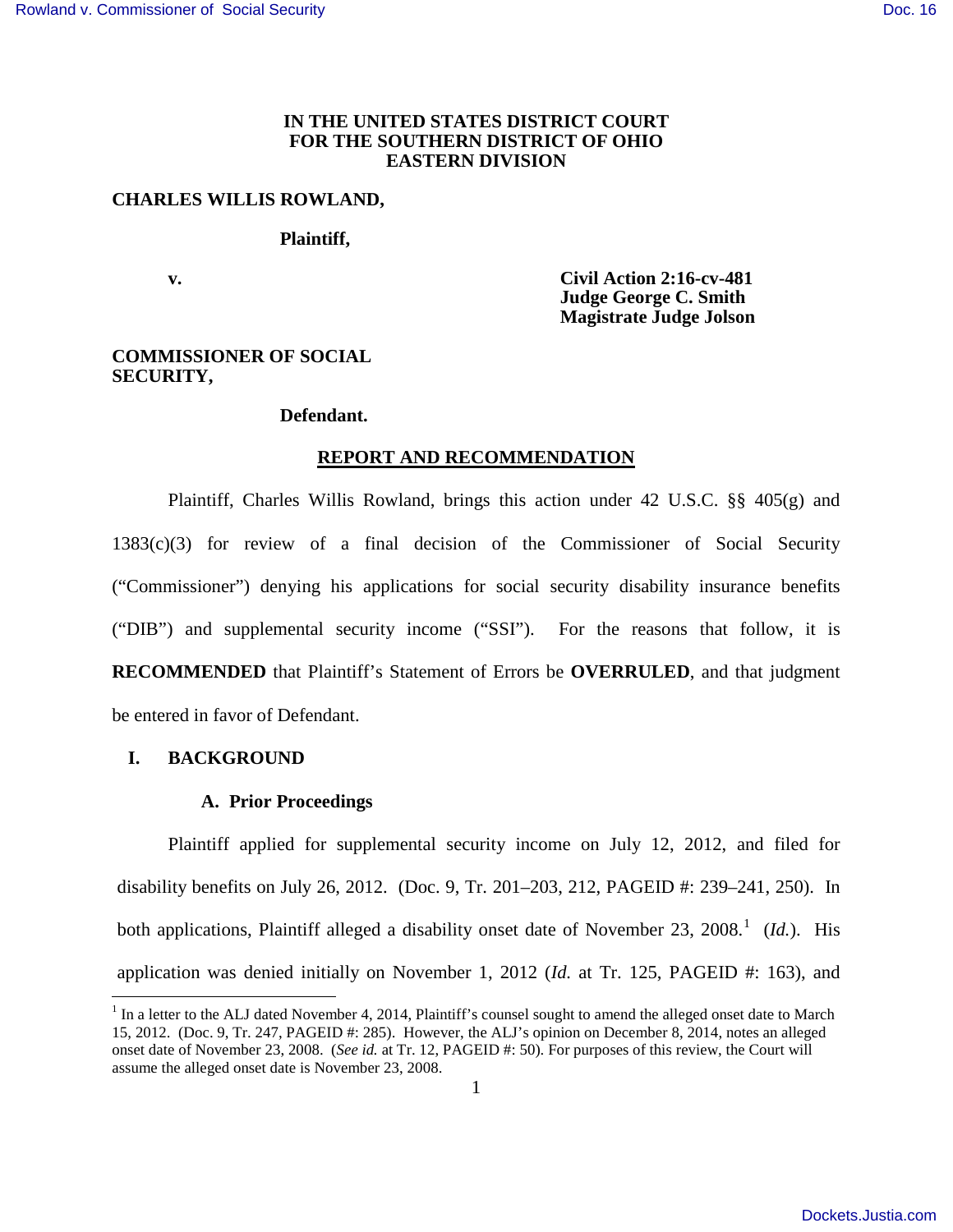## **IN THE UNITED STATES DISTRICT COURT FOR THE SOUTHERN DISTRICT OF OHIO EASTERN DIVISION**

## **CHARLES WILLIS ROWLAND,**

#### **Plaintiff,**

 **v. Civil Action 2:16-cv-481 Judge George C. Smith Magistrate Judge Jolson** 

## **COMMISSIONER OF SOCIAL SECURITY,**

#### **Defendant.**

#### **REPORT AND RECOMMENDATION**

Plaintiff, Charles Willis Rowland, brings this action under 42 U.S.C. §§ 405(g) and 1383(c)(3) for review of a final decision of the Commissioner of Social Security ("Commissioner") denying his applications for social security disability insurance benefits ("DIB") and supplemental security income ("SSI"). For the reasons that follow, it is **RECOMMENDED** that Plaintiff's Statement of Errors be **OVERRULED**, and that judgment be entered in favor of Defendant.

### **I. BACKGROUND**

<u>.</u>

#### **A. Prior Proceedings**

Plaintiff applied for supplemental security income on July 12, 2012, and filed for disability benefits on July 26, 2012. (Doc. 9, Tr. 201–203, 212, PAGEID #: 239–241, 250). In both applications, Plaintiff alleged a disability onset date of November 23, 2008.<sup>[1](#page-0-0)</sup> (Id.). His application was denied initially on November 1, 2012 (*Id.* at Tr. 125, PAGEID #: 163), and

<span id="page-0-0"></span> $<sup>1</sup>$  In a letter to the ALJ dated November 4, 2014, Plaintiff's counsel sought to amend the alleged onset date to March</sup> 15, 2012. (Doc. 9, Tr. 247, PAGEID #: 285). However, the ALJ's opinion on December 8, 2014, notes an alleged onset date of November 23, 2008. (*See id.* at Tr. 12, PAGEID #: 50). For purposes of this review, the Court will assume the alleged onset date is November 23, 2008.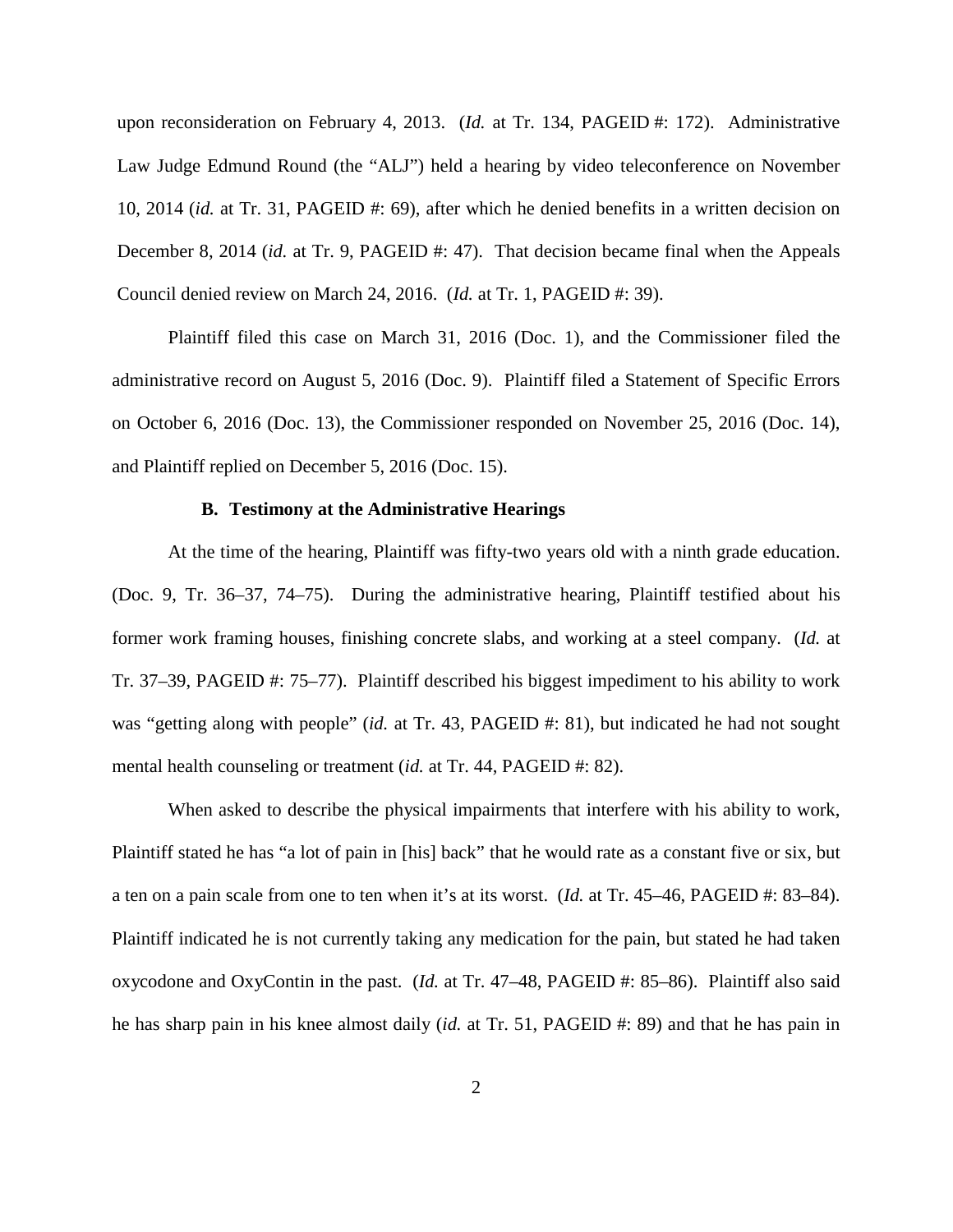upon reconsideration on February 4, 2013. (*Id.* at Tr. 134, PAGEID #: 172). Administrative Law Judge Edmund Round (the "ALJ") held a hearing by video teleconference on November 10, 2014 (*id.* at Tr. 31, PAGEID #: 69), after which he denied benefits in a written decision on December 8, 2014 (*id.* at Tr. 9, PAGEID #: 47). That decision became final when the Appeals Council denied review on March 24, 2016. (*Id.* at Tr. 1, PAGEID #: 39).

Plaintiff filed this case on March 31, 2016 (Doc. 1), and the Commissioner filed the administrative record on August 5, 2016 (Doc. 9). Plaintiff filed a Statement of Specific Errors on October 6, 2016 (Doc. 13), the Commissioner responded on November 25, 2016 (Doc. 14), and Plaintiff replied on December 5, 2016 (Doc. 15).

## **B. Testimony at the Administrative Hearings**

At the time of the hearing, Plaintiff was fifty-two years old with a ninth grade education. (Doc. 9, Tr. 36–37, 74–75). During the administrative hearing, Plaintiff testified about his former work framing houses, finishing concrete slabs, and working at a steel company. (*Id.* at Tr. 37–39, PAGEID #: 75–77). Plaintiff described his biggest impediment to his ability to work was "getting along with people" (*id.* at Tr. 43, PAGEID #: 81), but indicated he had not sought mental health counseling or treatment *(id.* at Tr. 44, PAGEID #: 82).

When asked to describe the physical impairments that interfere with his ability to work, Plaintiff stated he has "a lot of pain in [his] back" that he would rate as a constant five or six, but a ten on a pain scale from one to ten when it's at its worst. (*Id.* at Tr. 45–46, PAGEID #: 83–84). Plaintiff indicated he is not currently taking any medication for the pain, but stated he had taken oxycodone and OxyContin in the past. (*Id.* at Tr. 47–48, PAGEID #: 85–86). Plaintiff also said he has sharp pain in his knee almost daily (*id.* at Tr. 51, PAGEID #: 89) and that he has pain in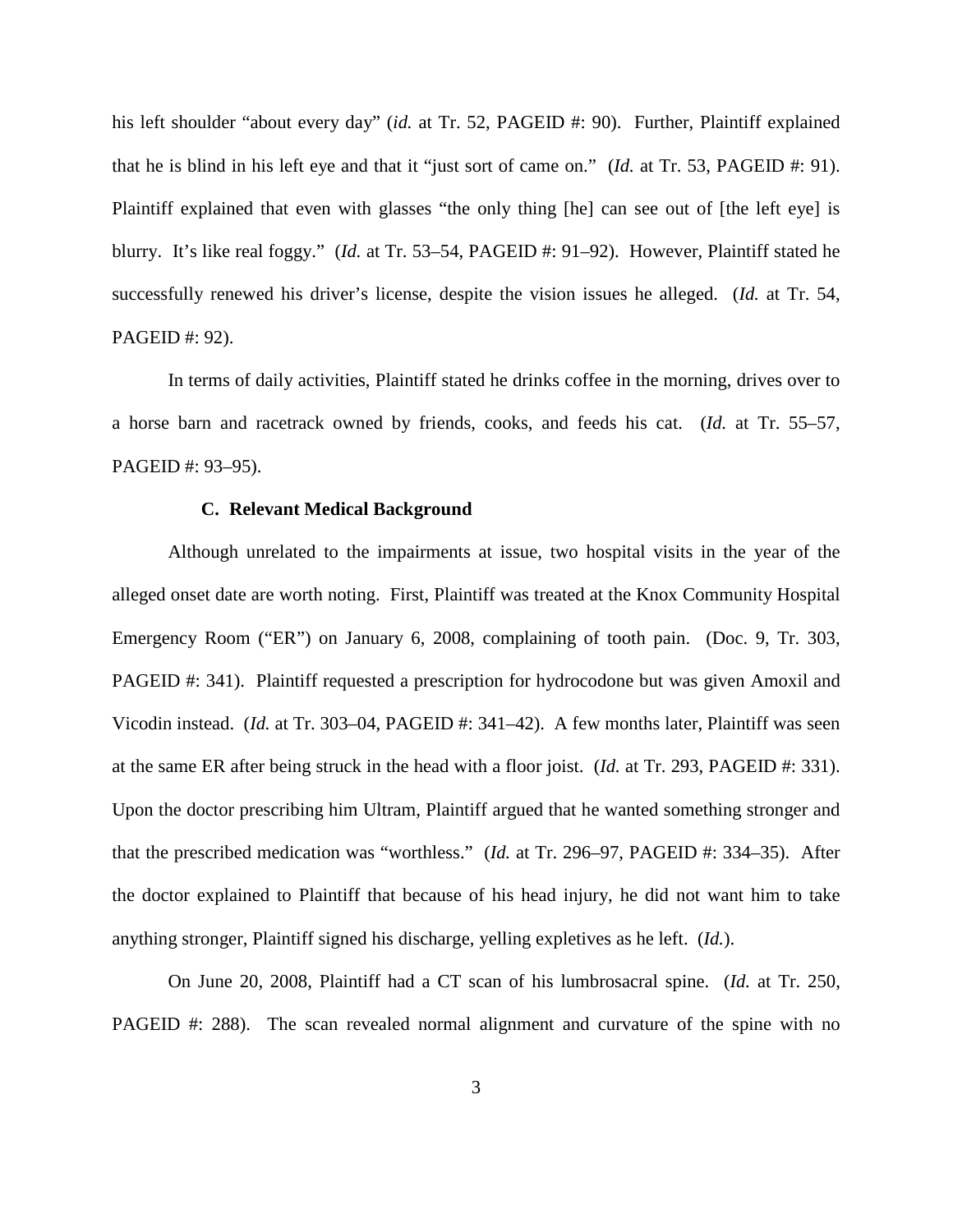his left shoulder "about every day" (*id.* at Tr. 52, PAGEID #: 90). Further, Plaintiff explained that he is blind in his left eye and that it "just sort of came on." (*Id.* at Tr. 53, PAGEID #: 91). Plaintiff explained that even with glasses "the only thing [he] can see out of [the left eye] is blurry. It's like real foggy." (*Id.* at Tr. 53–54, PAGEID #: 91–92). However, Plaintiff stated he successfully renewed his driver's license, despite the vision issues he alleged. (*Id.* at Tr. 54, PAGEID #: 92).

In terms of daily activities, Plaintiff stated he drinks coffee in the morning, drives over to a horse barn and racetrack owned by friends, cooks, and feeds his cat. (*Id.* at Tr. 55–57, PAGEID #: 93–95).

## **C. Relevant Medical Background**

Although unrelated to the impairments at issue, two hospital visits in the year of the alleged onset date are worth noting. First, Plaintiff was treated at the Knox Community Hospital Emergency Room ("ER") on January 6, 2008, complaining of tooth pain. (Doc. 9, Tr. 303, PAGEID #: 341). Plaintiff requested a prescription for hydrocodone but was given Amoxil and Vicodin instead. (*Id.* at Tr. 303–04, PAGEID #: 341–42). A few months later, Plaintiff was seen at the same ER after being struck in the head with a floor joist. (*Id.* at Tr. 293, PAGEID #: 331). Upon the doctor prescribing him Ultram, Plaintiff argued that he wanted something stronger and that the prescribed medication was "worthless." (*Id.* at Tr. 296–97, PAGEID #: 334–35). After the doctor explained to Plaintiff that because of his head injury, he did not want him to take anything stronger, Plaintiff signed his discharge, yelling expletives as he left. (*Id.*).

On June 20, 2008, Plaintiff had a CT scan of his lumbrosacral spine. (*Id.* at Tr. 250, PAGEID #: 288). The scan revealed normal alignment and curvature of the spine with no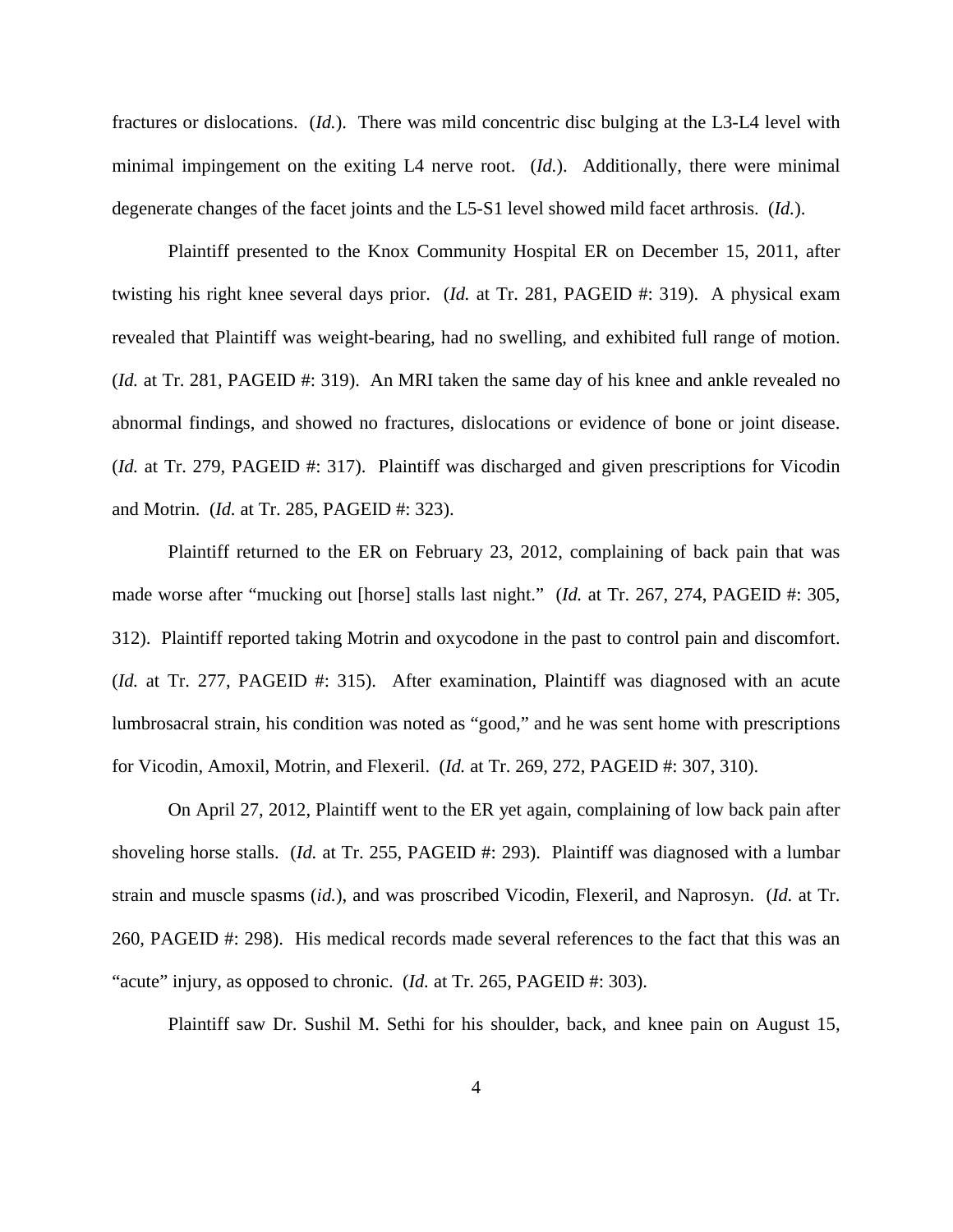fractures or dislocations. (*Id.*). There was mild concentric disc bulging at the L3-L4 level with minimal impingement on the exiting L4 nerve root. (*Id.*). Additionally, there were minimal degenerate changes of the facet joints and the L5-S1 level showed mild facet arthrosis. (*Id.*).

Plaintiff presented to the Knox Community Hospital ER on December 15, 2011, after twisting his right knee several days prior. (*Id.* at Tr. 281, PAGEID #: 319). A physical exam revealed that Plaintiff was weight-bearing, had no swelling, and exhibited full range of motion. (*Id.* at Tr. 281, PAGEID #: 319). An MRI taken the same day of his knee and ankle revealed no abnormal findings, and showed no fractures, dislocations or evidence of bone or joint disease. (*Id.* at Tr. 279, PAGEID #: 317). Plaintiff was discharged and given prescriptions for Vicodin and Motrin. (*Id.* at Tr. 285, PAGEID #: 323).

Plaintiff returned to the ER on February 23, 2012, complaining of back pain that was made worse after "mucking out [horse] stalls last night." (*Id.* at Tr. 267, 274, PAGEID #: 305, 312). Plaintiff reported taking Motrin and oxycodone in the past to control pain and discomfort. (*Id.* at Tr. 277, PAGEID #: 315). After examination, Plaintiff was diagnosed with an acute lumbrosacral strain, his condition was noted as "good," and he was sent home with prescriptions for Vicodin, Amoxil, Motrin, and Flexeril. (*Id.* at Tr. 269, 272, PAGEID #: 307, 310).

On April 27, 2012, Plaintiff went to the ER yet again, complaining of low back pain after shoveling horse stalls. (*Id.* at Tr. 255, PAGEID #: 293). Plaintiff was diagnosed with a lumbar strain and muscle spasms (*id.*), and was proscribed Vicodin, Flexeril, and Naprosyn. (*Id.* at Tr. 260, PAGEID #: 298). His medical records made several references to the fact that this was an "acute" injury, as opposed to chronic. (*Id.* at Tr. 265, PAGEID #: 303).

Plaintiff saw Dr. Sushil M. Sethi for his shoulder, back, and knee pain on August 15,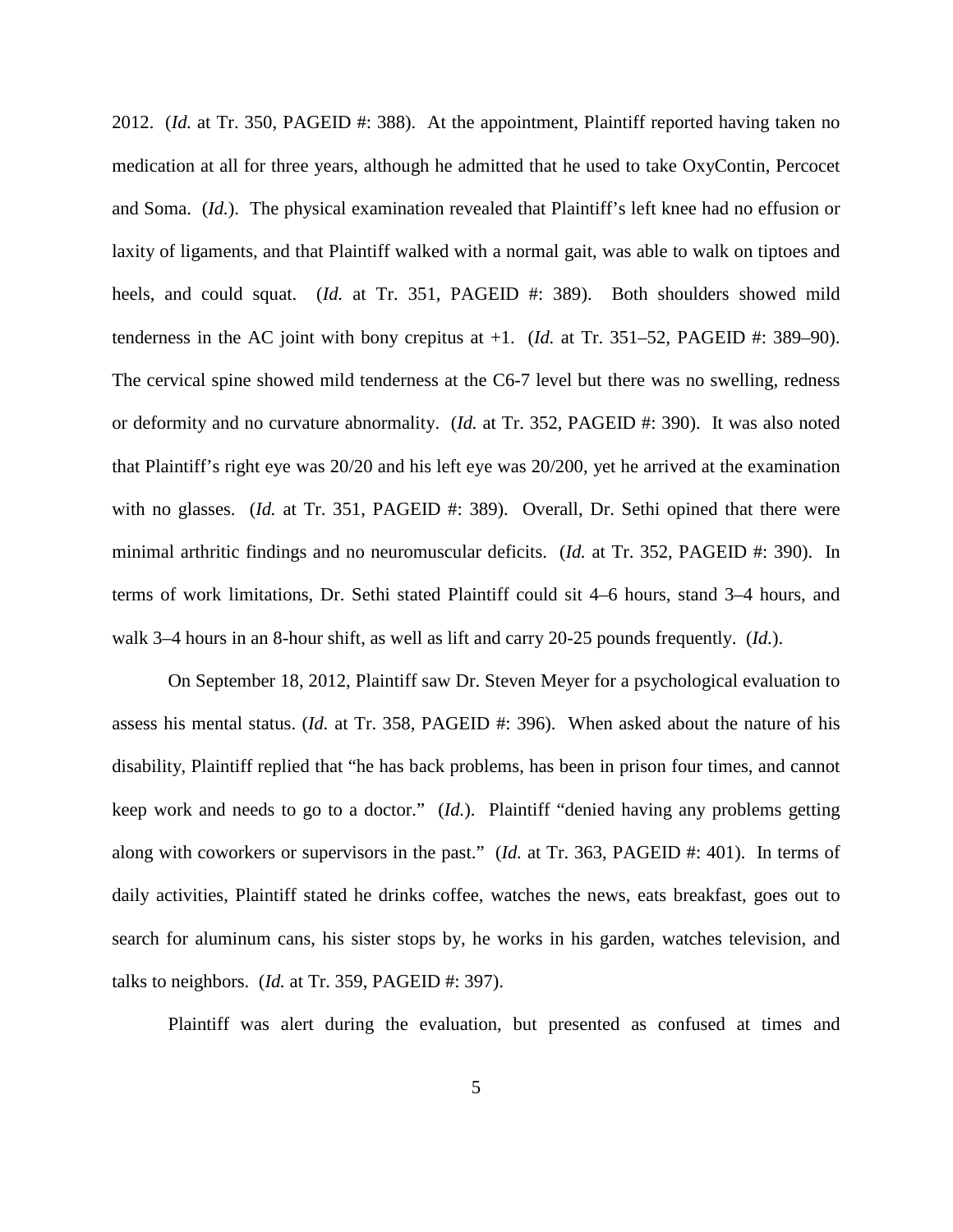2012. (*Id.* at Tr. 350, PAGEID #: 388). At the appointment, Plaintiff reported having taken no medication at all for three years, although he admitted that he used to take OxyContin, Percocet and Soma. (*Id.*). The physical examination revealed that Plaintiff's left knee had no effusion or laxity of ligaments, and that Plaintiff walked with a normal gait, was able to walk on tiptoes and heels, and could squat. (*Id.* at Tr. 351, PAGEID #: 389). Both shoulders showed mild tenderness in the AC joint with bony crepitus at  $+1$ . (*Id.* at Tr. 351–52, PAGEID #: 389–90). The cervical spine showed mild tenderness at the C6-7 level but there was no swelling, redness or deformity and no curvature abnormality. (*Id.* at Tr. 352, PAGEID #: 390). It was also noted that Plaintiff's right eye was 20/20 and his left eye was 20/200, yet he arrived at the examination with no glasses. (*Id.* at Tr. 351, PAGEID #: 389). Overall, Dr. Sethi opined that there were minimal arthritic findings and no neuromuscular deficits. (*Id.* at Tr. 352, PAGEID #: 390). In terms of work limitations, Dr. Sethi stated Plaintiff could sit 4–6 hours, stand 3–4 hours, and walk 3–4 hours in an 8-hour shift, as well as lift and carry 20-25 pounds frequently. (*Id.*).

On September 18, 2012, Plaintiff saw Dr. Steven Meyer for a psychological evaluation to assess his mental status. (*Id.* at Tr. 358, PAGEID #: 396). When asked about the nature of his disability, Plaintiff replied that "he has back problems, has been in prison four times, and cannot keep work and needs to go to a doctor." (*Id.*). Plaintiff "denied having any problems getting along with coworkers or supervisors in the past." (*Id.* at Tr. 363, PAGEID #: 401). In terms of daily activities, Plaintiff stated he drinks coffee, watches the news, eats breakfast, goes out to search for aluminum cans, his sister stops by, he works in his garden, watches television, and talks to neighbors. (*Id.* at Tr. 359, PAGEID #: 397).

Plaintiff was alert during the evaluation, but presented as confused at times and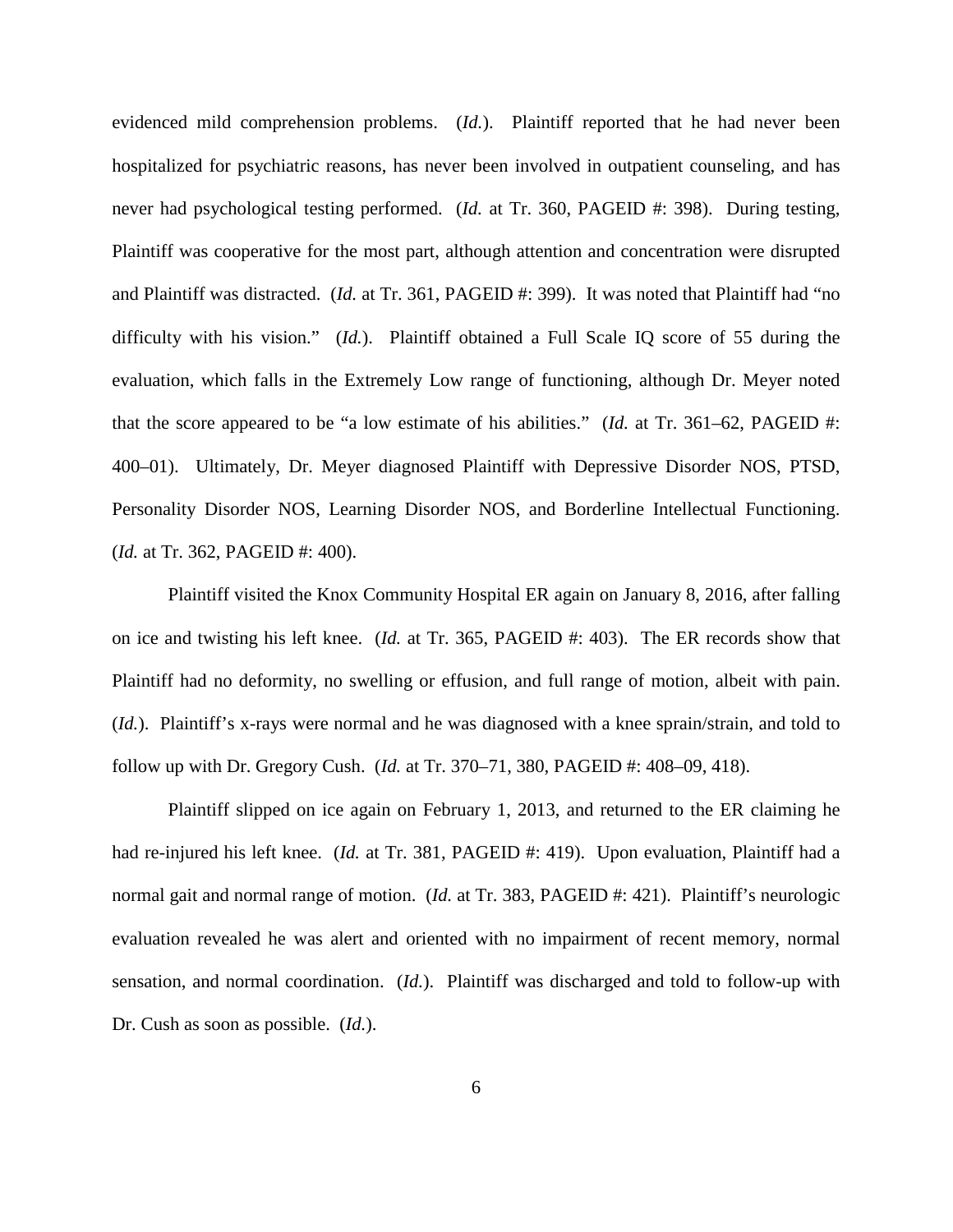evidenced mild comprehension problems. (*Id.*). Plaintiff reported that he had never been hospitalized for psychiatric reasons, has never been involved in outpatient counseling, and has never had psychological testing performed. (*Id.* at Tr. 360, PAGEID #: 398). During testing, Plaintiff was cooperative for the most part, although attention and concentration were disrupted and Plaintiff was distracted. (*Id.* at Tr. 361, PAGEID #: 399). It was noted that Plaintiff had "no difficulty with his vision." (*Id.*). Plaintiff obtained a Full Scale IQ score of 55 during the evaluation, which falls in the Extremely Low range of functioning, although Dr. Meyer noted that the score appeared to be "a low estimate of his abilities." (*Id.* at Tr. 361–62, PAGEID #: 400–01). Ultimately, Dr. Meyer diagnosed Plaintiff with Depressive Disorder NOS, PTSD, Personality Disorder NOS, Learning Disorder NOS, and Borderline Intellectual Functioning. (*Id.* at Tr. 362, PAGEID #: 400).

Plaintiff visited the Knox Community Hospital ER again on January 8, 2016, after falling on ice and twisting his left knee. (*Id.* at Tr. 365, PAGEID #: 403). The ER records show that Plaintiff had no deformity, no swelling or effusion, and full range of motion, albeit with pain. (*Id.*). Plaintiff's x-rays were normal and he was diagnosed with a knee sprain/strain, and told to follow up with Dr. Gregory Cush. (*Id.* at Tr. 370–71, 380, PAGEID #: 408–09, 418).

Plaintiff slipped on ice again on February 1, 2013, and returned to the ER claiming he had re-injured his left knee. (*Id.* at Tr. 381, PAGEID #: 419). Upon evaluation, Plaintiff had a normal gait and normal range of motion. (*Id.* at Tr. 383, PAGEID #: 421). Plaintiff's neurologic evaluation revealed he was alert and oriented with no impairment of recent memory, normal sensation, and normal coordination. (*Id.*). Plaintiff was discharged and told to follow-up with Dr. Cush as soon as possible. (*Id.*).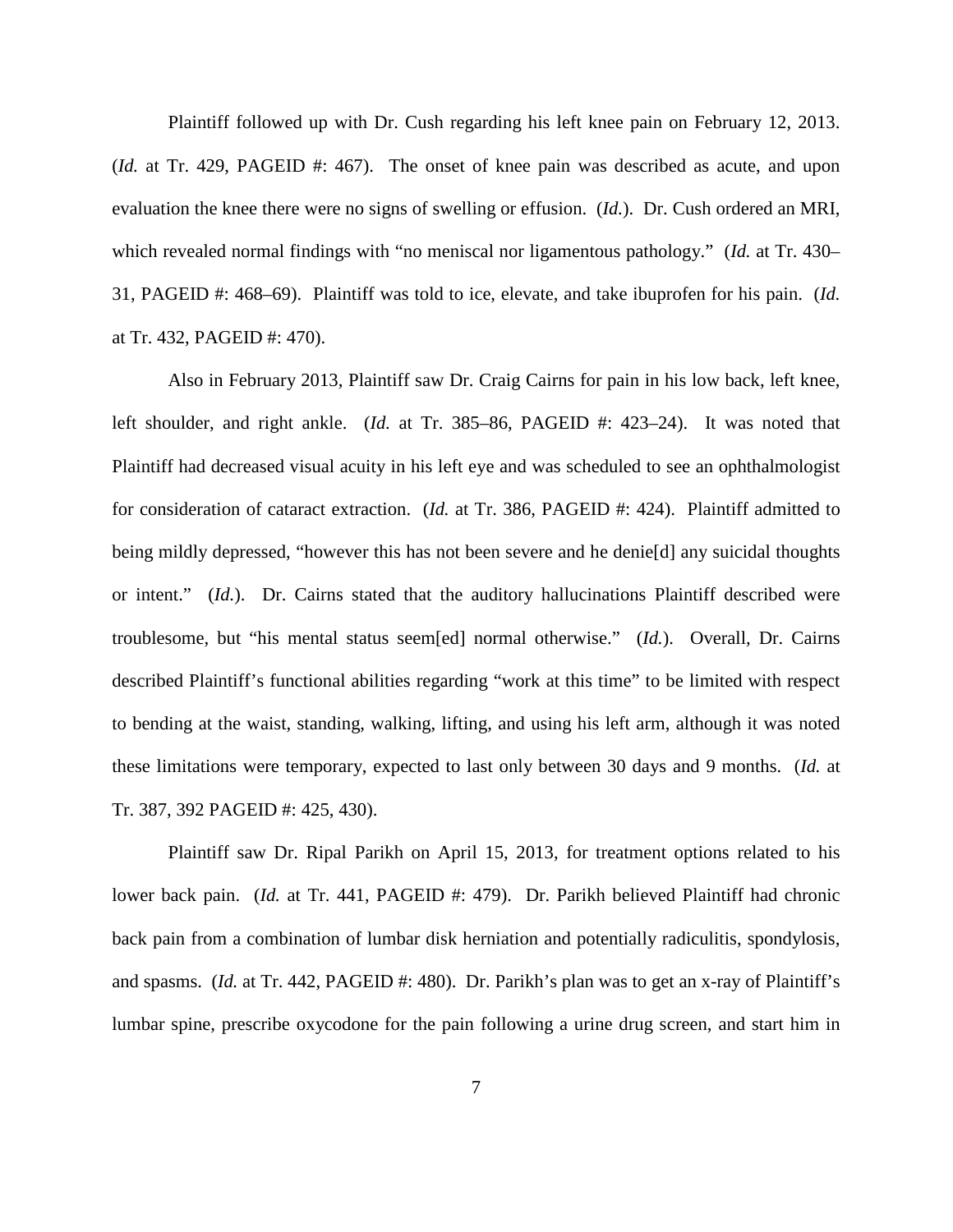Plaintiff followed up with Dr. Cush regarding his left knee pain on February 12, 2013. (*Id.* at Tr. 429, PAGEID #: 467). The onset of knee pain was described as acute, and upon evaluation the knee there were no signs of swelling or effusion. (*Id.*). Dr. Cush ordered an MRI, which revealed normal findings with "no meniscal nor ligamentous pathology." (*Id.* at Tr. 430– 31, PAGEID #: 468–69). Plaintiff was told to ice, elevate, and take ibuprofen for his pain. (*Id.* at Tr. 432, PAGEID #: 470).

Also in February 2013, Plaintiff saw Dr. Craig Cairns for pain in his low back, left knee, left shoulder, and right ankle. (*Id.* at Tr. 385–86, PAGEID #: 423–24). It was noted that Plaintiff had decreased visual acuity in his left eye and was scheduled to see an ophthalmologist for consideration of cataract extraction. (*Id.* at Tr. 386, PAGEID #: 424). Plaintiff admitted to being mildly depressed, "however this has not been severe and he denie<sup>[d]</sup> any suicidal thoughts or intent." (*Id.*). Dr. Cairns stated that the auditory hallucinations Plaintiff described were troublesome, but "his mental status seem[ed] normal otherwise." (*Id.*). Overall, Dr. Cairns described Plaintiff's functional abilities regarding "work at this time" to be limited with respect to bending at the waist, standing, walking, lifting, and using his left arm, although it was noted these limitations were temporary, expected to last only between 30 days and 9 months. (*Id.* at Tr. 387, 392 PAGEID #: 425, 430).

Plaintiff saw Dr. Ripal Parikh on April 15, 2013, for treatment options related to his lower back pain. (*Id.* at Tr. 441, PAGEID #: 479). Dr. Parikh believed Plaintiff had chronic back pain from a combination of lumbar disk herniation and potentially radiculitis, spondylosis, and spasms. (*Id.* at Tr. 442, PAGEID #: 480). Dr. Parikh's plan was to get an x-ray of Plaintiff's lumbar spine, prescribe oxycodone for the pain following a urine drug screen, and start him in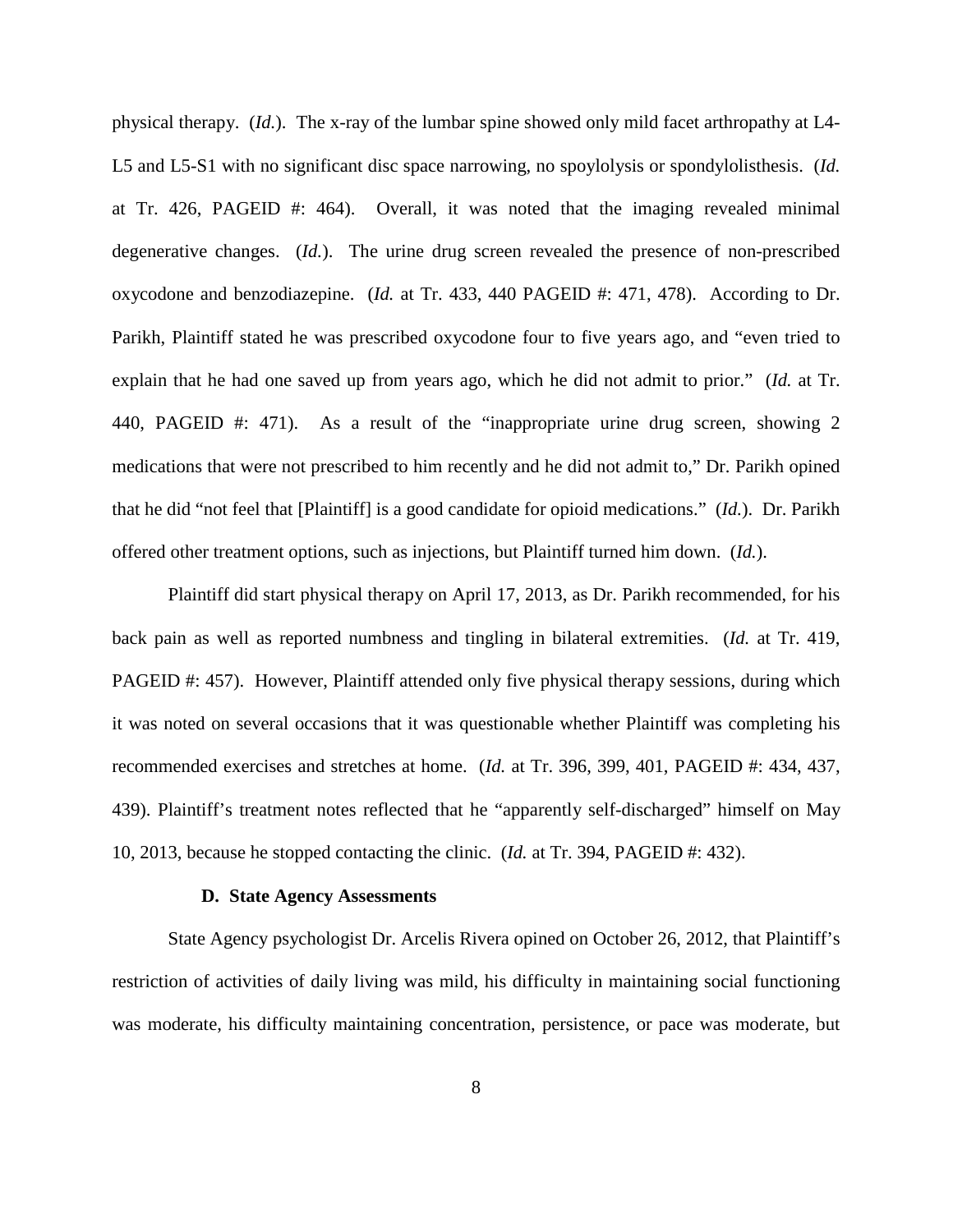physical therapy. (*Id.*). The x-ray of the lumbar spine showed only mild facet arthropathy at L4- L5 and L5-S1 with no significant disc space narrowing, no spoylolysis or spondylolisthesis. (*Id.* at Tr. 426, PAGEID #: 464). Overall, it was noted that the imaging revealed minimal degenerative changes. (*Id.*). The urine drug screen revealed the presence of non-prescribed oxycodone and benzodiazepine. (*Id.* at Tr. 433, 440 PAGEID #: 471, 478). According to Dr. Parikh, Plaintiff stated he was prescribed oxycodone four to five years ago, and "even tried to explain that he had one saved up from years ago, which he did not admit to prior." (*Id.* at Tr. 440, PAGEID #: 471). As a result of the "inappropriate urine drug screen, showing 2 medications that were not prescribed to him recently and he did not admit to," Dr. Parikh opined that he did "not feel that [Plaintiff] is a good candidate for opioid medications." (*Id.*). Dr. Parikh offered other treatment options, such as injections, but Plaintiff turned him down. (*Id.*).

Plaintiff did start physical therapy on April 17, 2013, as Dr. Parikh recommended, for his back pain as well as reported numbness and tingling in bilateral extremities. (*Id.* at Tr. 419, PAGEID #: 457). However, Plaintiff attended only five physical therapy sessions, during which it was noted on several occasions that it was questionable whether Plaintiff was completing his recommended exercises and stretches at home. (*Id.* at Tr. 396, 399, 401, PAGEID #: 434, 437, 439). Plaintiff's treatment notes reflected that he "apparently self-discharged" himself on May 10, 2013, because he stopped contacting the clinic. (*Id.* at Tr. 394, PAGEID #: 432).

#### **D. State Agency Assessments**

State Agency psychologist Dr. Arcelis Rivera opined on October 26, 2012, that Plaintiff's restriction of activities of daily living was mild, his difficulty in maintaining social functioning was moderate, his difficulty maintaining concentration, persistence, or pace was moderate, but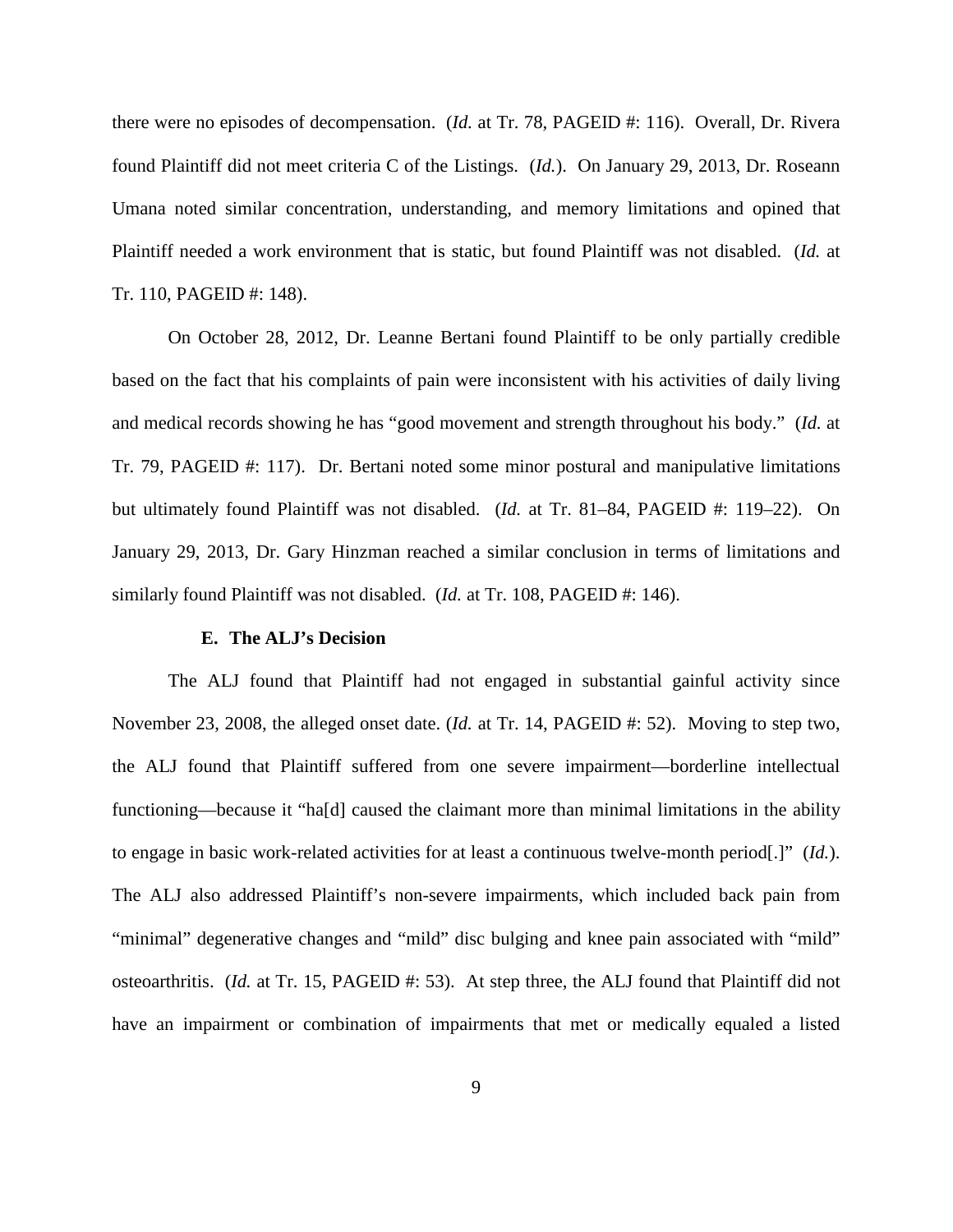there were no episodes of decompensation. (*Id.* at Tr. 78, PAGEID #: 116). Overall, Dr. Rivera found Plaintiff did not meet criteria C of the Listings. (*Id.*). On January 29, 2013, Dr. Roseann Umana noted similar concentration, understanding, and memory limitations and opined that Plaintiff needed a work environment that is static, but found Plaintiff was not disabled. (*Id.* at Tr. 110, PAGEID #: 148).

On October 28, 2012, Dr. Leanne Bertani found Plaintiff to be only partially credible based on the fact that his complaints of pain were inconsistent with his activities of daily living and medical records showing he has "good movement and strength throughout his body." (*Id.* at Tr. 79, PAGEID #: 117). Dr. Bertani noted some minor postural and manipulative limitations but ultimately found Plaintiff was not disabled. (*Id.* at Tr. 81–84, PAGEID #: 119–22). On January 29, 2013, Dr. Gary Hinzman reached a similar conclusion in terms of limitations and similarly found Plaintiff was not disabled. (*Id.* at Tr. 108, PAGEID #: 146).

#### **E. The ALJ's Decision**

The ALJ found that Plaintiff had not engaged in substantial gainful activity since November 23, 2008, the alleged onset date. (*Id.* at Tr. 14, PAGEID #: 52). Moving to step two, the ALJ found that Plaintiff suffered from one severe impairment—borderline intellectual functioning—because it "ha[d] caused the claimant more than minimal limitations in the ability to engage in basic work-related activities for at least a continuous twelve-month period[.]" (*Id.*). The ALJ also addressed Plaintiff's non-severe impairments, which included back pain from "minimal" degenerative changes and "mild" disc bulging and knee pain associated with "mild" osteoarthritis. (*Id.* at Tr. 15, PAGEID #: 53). At step three, the ALJ found that Plaintiff did not have an impairment or combination of impairments that met or medically equaled a listed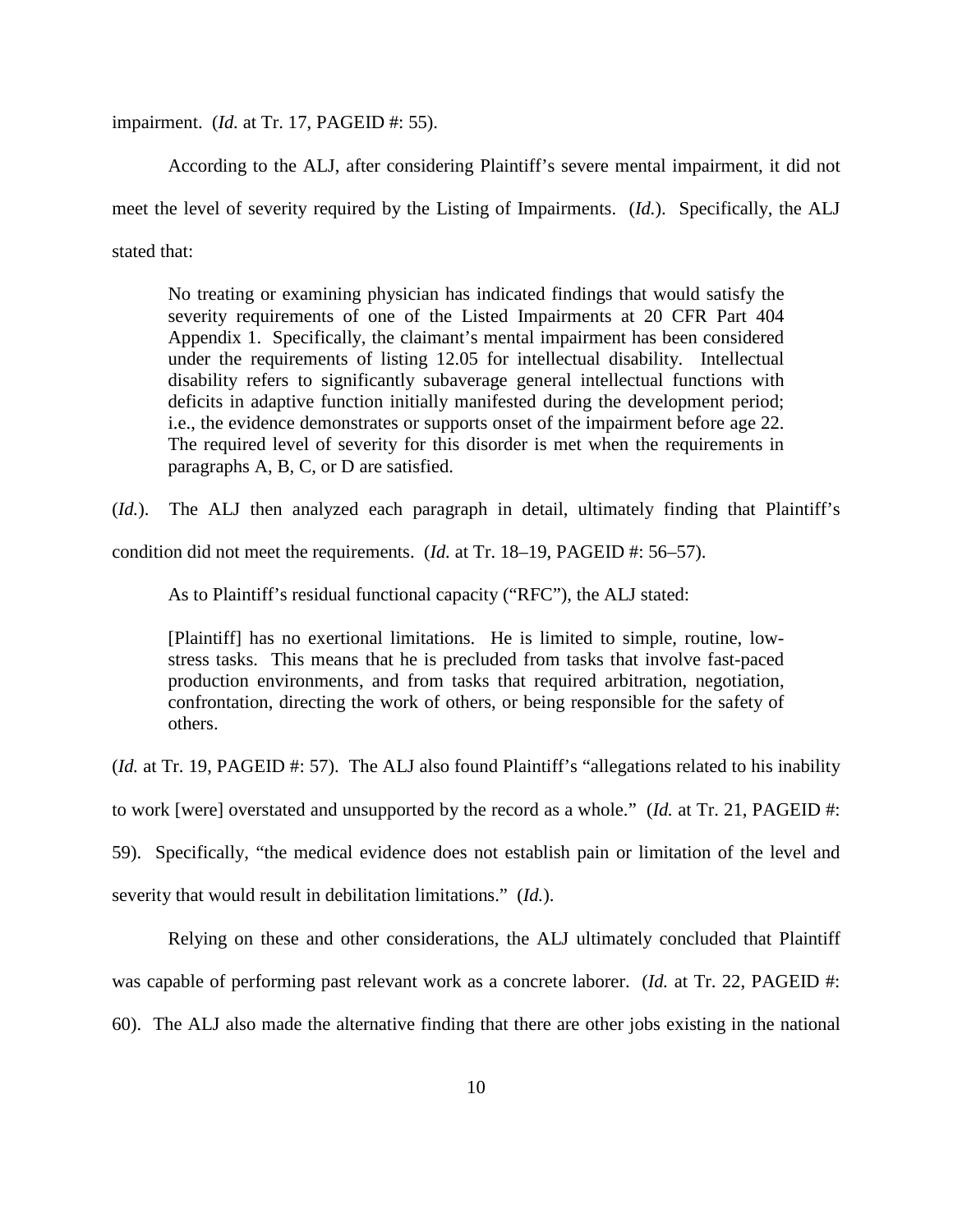impairment. (*Id.* at Tr. 17, PAGEID #: 55).

According to the ALJ, after considering Plaintiff's severe mental impairment, it did not meet the level of severity required by the Listing of Impairments. (*Id.*). Specifically, the ALJ stated that:

No treating or examining physician has indicated findings that would satisfy the severity requirements of one of the Listed Impairments at 20 CFR Part 404 Appendix 1. Specifically, the claimant's mental impairment has been considered under the requirements of listing 12.05 for intellectual disability. Intellectual disability refers to significantly subaverage general intellectual functions with deficits in adaptive function initially manifested during the development period; i.e., the evidence demonstrates or supports onset of the impairment before age 22. The required level of severity for this disorder is met when the requirements in paragraphs A, B, C, or D are satisfied.

(*Id.*). The ALJ then analyzed each paragraph in detail, ultimately finding that Plaintiff's

condition did not meet the requirements. (*Id.* at Tr. 18–19, PAGEID #: 56–57).

As to Plaintiff's residual functional capacity ("RFC"), the ALJ stated:

[Plaintiff] has no exertional limitations. He is limited to simple, routine, lowstress tasks. This means that he is precluded from tasks that involve fast-paced production environments, and from tasks that required arbitration, negotiation, confrontation, directing the work of others, or being responsible for the safety of others.

(*Id.* at Tr. 19, PAGEID #: 57). The ALJ also found Plaintiff's "allegations related to his inability

to work [were] overstated and unsupported by the record as a whole." (*Id.* at Tr. 21, PAGEID #:

59). Specifically, "the medical evidence does not establish pain or limitation of the level and

severity that would result in debilitation limitations." (*Id.*).

Relying on these and other considerations, the ALJ ultimately concluded that Plaintiff

was capable of performing past relevant work as a concrete laborer. (*Id.* at Tr. 22, PAGEID #:

60). The ALJ also made the alternative finding that there are other jobs existing in the national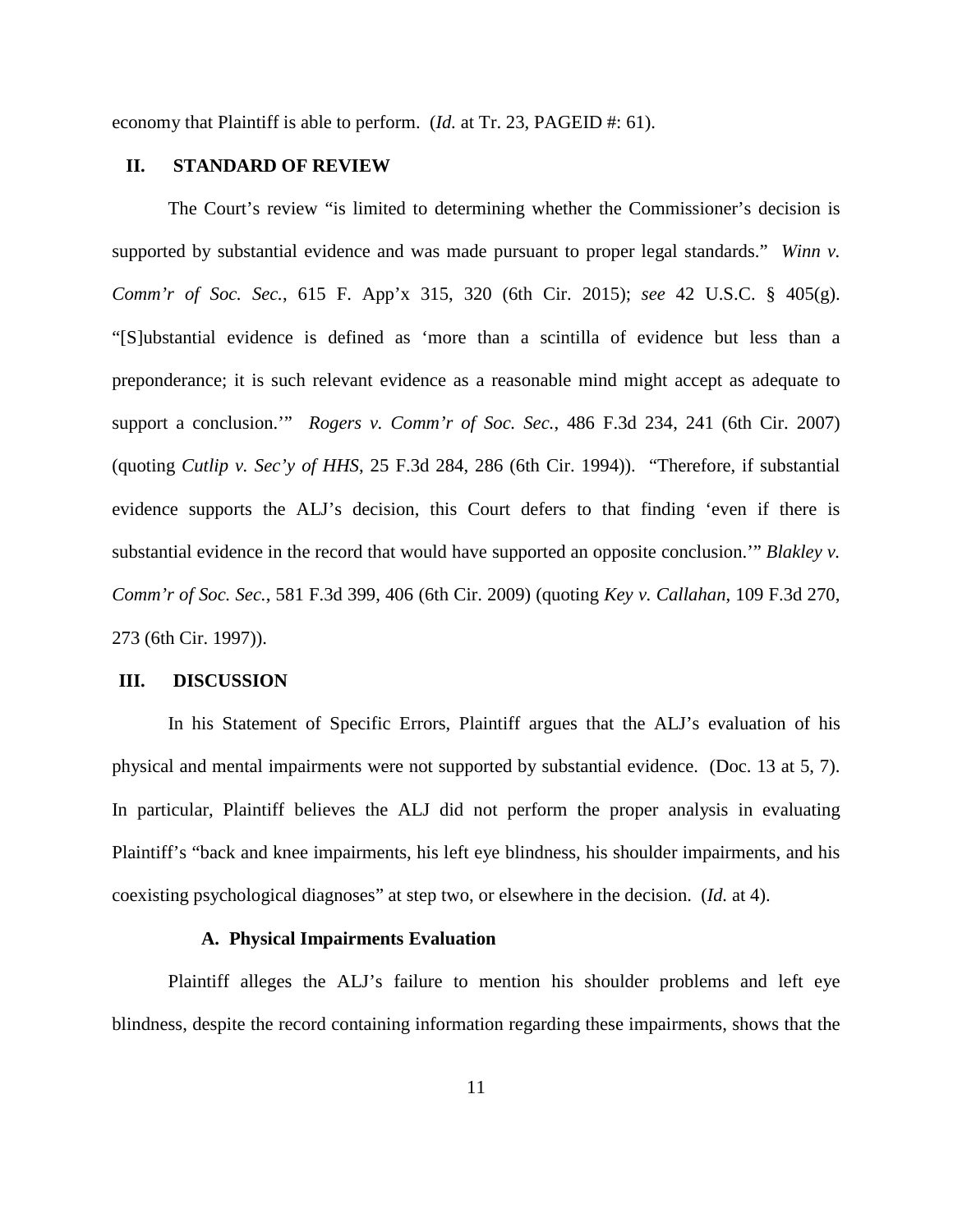economy that Plaintiff is able to perform. (*Id.* at Tr. 23, PAGEID #: 61).

## **II. STANDARD OF REVIEW**

The Court's review "is limited to determining whether the Commissioner's decision is supported by substantial evidence and was made pursuant to proper legal standards." *Winn v. Comm'r of Soc. Sec.*, 615 F. App'x 315, 320 (6th Cir. 2015); *see* 42 U.S.C. § 405(g). "[S]ubstantial evidence is defined as 'more than a scintilla of evidence but less than a preponderance; it is such relevant evidence as a reasonable mind might accept as adequate to support a conclusion.'" *Rogers v. Comm'r of Soc. Sec.*, 486 F.3d 234, 241 (6th Cir. 2007) (quoting *Cutlip v. Sec'y of HHS*, 25 F.3d 284, 286 (6th Cir. 1994)). "Therefore, if substantial evidence supports the ALJ's decision, this Court defers to that finding 'even if there is substantial evidence in the record that would have supported an opposite conclusion.'" *Blakley v. Comm'r of Soc. Sec.*, 581 F.3d 399, 406 (6th Cir. 2009) (quoting *Key v. Callahan*, 109 F.3d 270, 273 (6th Cir. 1997)).

### **III. DISCUSSION**

In his Statement of Specific Errors, Plaintiff argues that the ALJ's evaluation of his physical and mental impairments were not supported by substantial evidence. (Doc. 13 at 5, 7). In particular, Plaintiff believes the ALJ did not perform the proper analysis in evaluating Plaintiff's "back and knee impairments, his left eye blindness, his shoulder impairments, and his coexisting psychological diagnoses" at step two, or elsewhere in the decision. (*Id.* at 4).

## **A. Physical Impairments Evaluation**

Plaintiff alleges the ALJ's failure to mention his shoulder problems and left eye blindness, despite the record containing information regarding these impairments, shows that the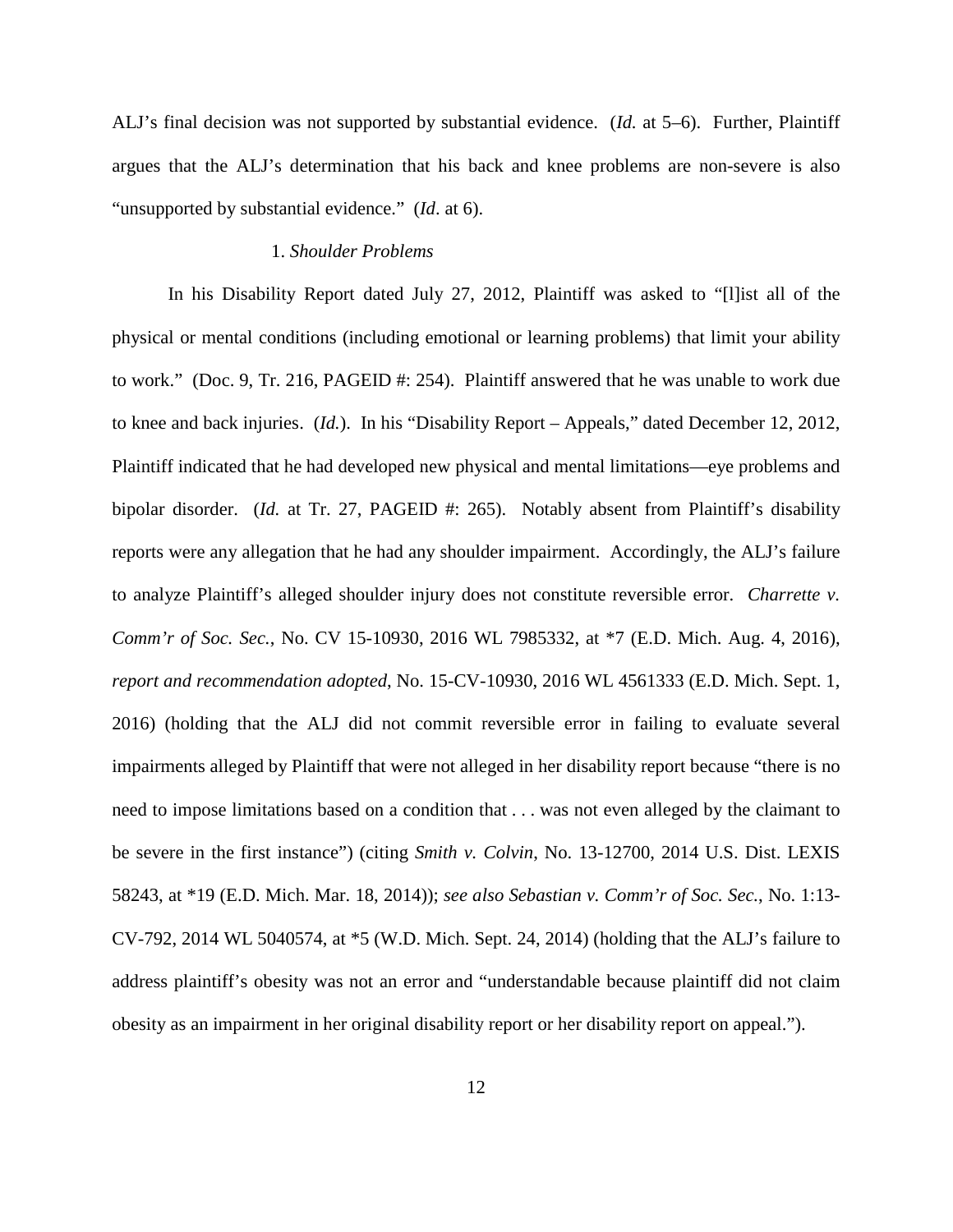ALJ's final decision was not supported by substantial evidence. (*Id.* at 5–6). Further, Plaintiff argues that the ALJ's determination that his back and knee problems are non-severe is also "unsupported by substantial evidence." (*Id*. at 6).

#### 1. *Shoulder Problems*

In his Disability Report dated July 27, 2012, Plaintiff was asked to "[l]ist all of the physical or mental conditions (including emotional or learning problems) that limit your ability to work." (Doc. 9, Tr. 216, PAGEID #: 254). Plaintiff answered that he was unable to work due to knee and back injuries. (*Id.*). In his "Disability Report – Appeals," dated December 12, 2012, Plaintiff indicated that he had developed new physical and mental limitations—eye problems and bipolar disorder. (*Id.* at Tr. 27, PAGEID #: 265). Notably absent from Plaintiff's disability reports were any allegation that he had any shoulder impairment. Accordingly, the ALJ's failure to analyze Plaintiff's alleged shoulder injury does not constitute reversible error. *Charrette v. Comm'r of Soc. Sec.*, No. CV 15-10930, 2016 WL 7985332, at \*7 (E.D. Mich. Aug. 4, 2016), *report and recommendation adopted*, No. 15-CV-10930, 2016 WL 4561333 (E.D. Mich. Sept. 1, 2016) (holding that the ALJ did not commit reversible error in failing to evaluate several impairments alleged by Plaintiff that were not alleged in her disability report because "there is no need to impose limitations based on a condition that . . . was not even alleged by the claimant to be severe in the first instance") (citing *Smith v. Colvin*, No. 13-12700, 2014 U.S. Dist. LEXIS 58243, at \*19 (E.D. Mich. Mar. 18, 2014)); *see also Sebastian v. Comm'r of Soc. Sec.*, No. 1:13- CV-792, 2014 WL 5040574, at \*5 (W.D. Mich. Sept. 24, 2014) (holding that the ALJ's failure to address plaintiff's obesity was not an error and "understandable because plaintiff did not claim obesity as an impairment in her original disability report or her disability report on appeal.").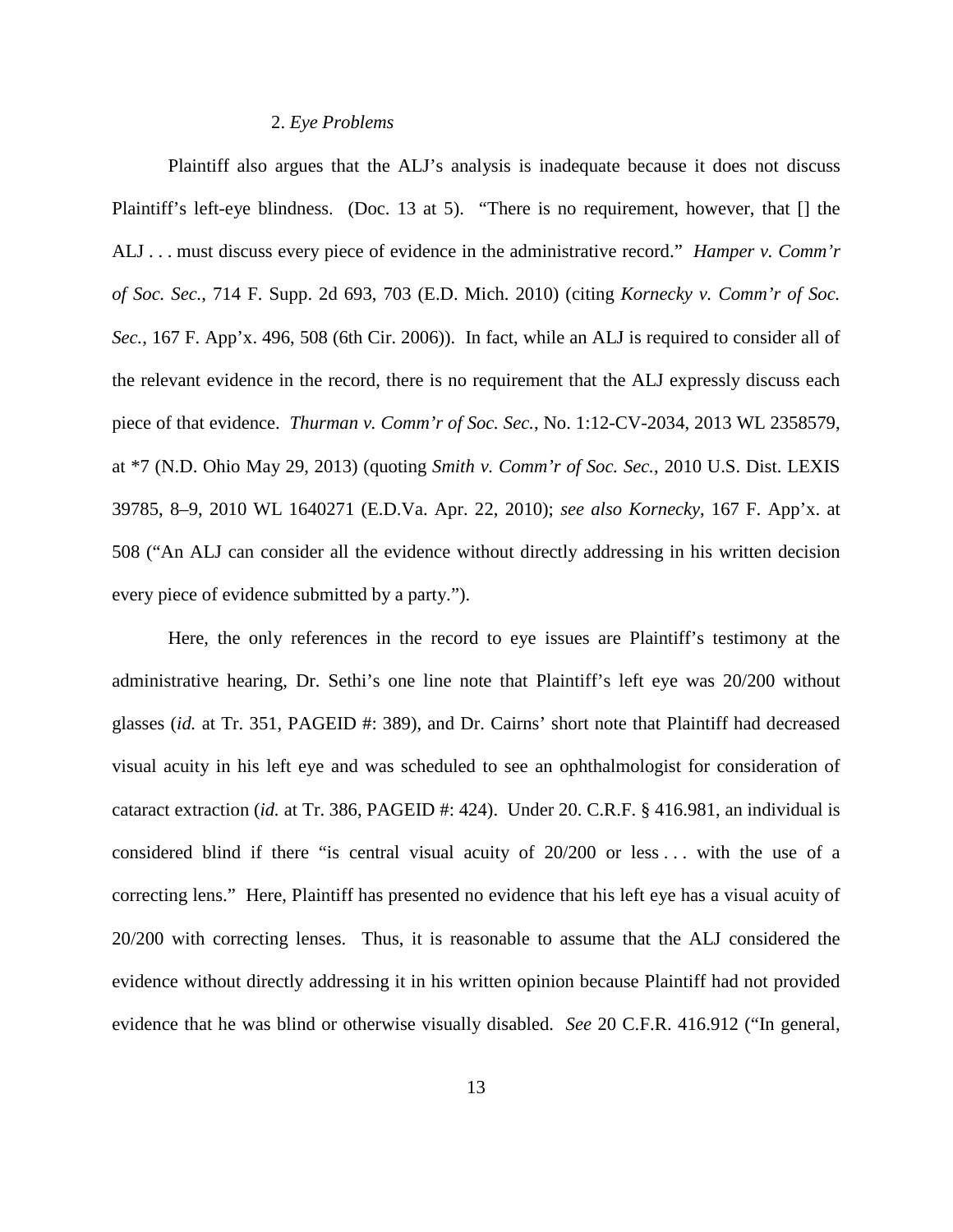#### 2. *Eye Problems*

Plaintiff also argues that the ALJ's analysis is inadequate because it does not discuss Plaintiff's left-eye blindness. (Doc. 13 at 5). "There is no requirement, however, that [] the ALJ . . . must discuss every piece of evidence in the administrative record." *Hamper v. Comm'r of Soc. Sec.*, 714 F. Supp. 2d 693, 703 (E.D. Mich. 2010) (citing *Kornecky v. Comm'r of Soc. Sec.*, 167 F. App'x. 496, 508 (6th Cir. 2006)). In fact, while an ALJ is required to consider all of the relevant evidence in the record, there is no requirement that the ALJ expressly discuss each piece of that evidence. *Thurman v. Comm'r of Soc. Sec.*, No. 1:12-CV-2034, 2013 WL 2358579, at \*7 (N.D. Ohio May 29, 2013) (quoting *Smith v. Comm'r of Soc. Sec.*, 2010 U.S. Dist. LEXIS 39785, 8–9, 2010 WL 1640271 (E.D.Va. Apr. 22, 2010); *see also Kornecky*, 167 F. App'x. at 508 ("An ALJ can consider all the evidence without directly addressing in his written decision every piece of evidence submitted by a party.").

Here, the only references in the record to eye issues are Plaintiff's testimony at the administrative hearing, Dr. Sethi's one line note that Plaintiff's left eye was 20/200 without glasses (*id.* at Tr. 351, PAGEID #: 389), and Dr. Cairns' short note that Plaintiff had decreased visual acuity in his left eye and was scheduled to see an ophthalmologist for consideration of cataract extraction (*id.* at Tr. 386, PAGEID #: 424). Under 20. C.R.F. § 416.981, an individual is considered blind if there "is central visual acuity of 20/200 or less ... with the use of a correcting lens." Here, Plaintiff has presented no evidence that his left eye has a visual acuity of 20/200 with correcting lenses. Thus, it is reasonable to assume that the ALJ considered the evidence without directly addressing it in his written opinion because Plaintiff had not provided evidence that he was blind or otherwise visually disabled. *See* 20 C.F.R. 416.912 ("In general,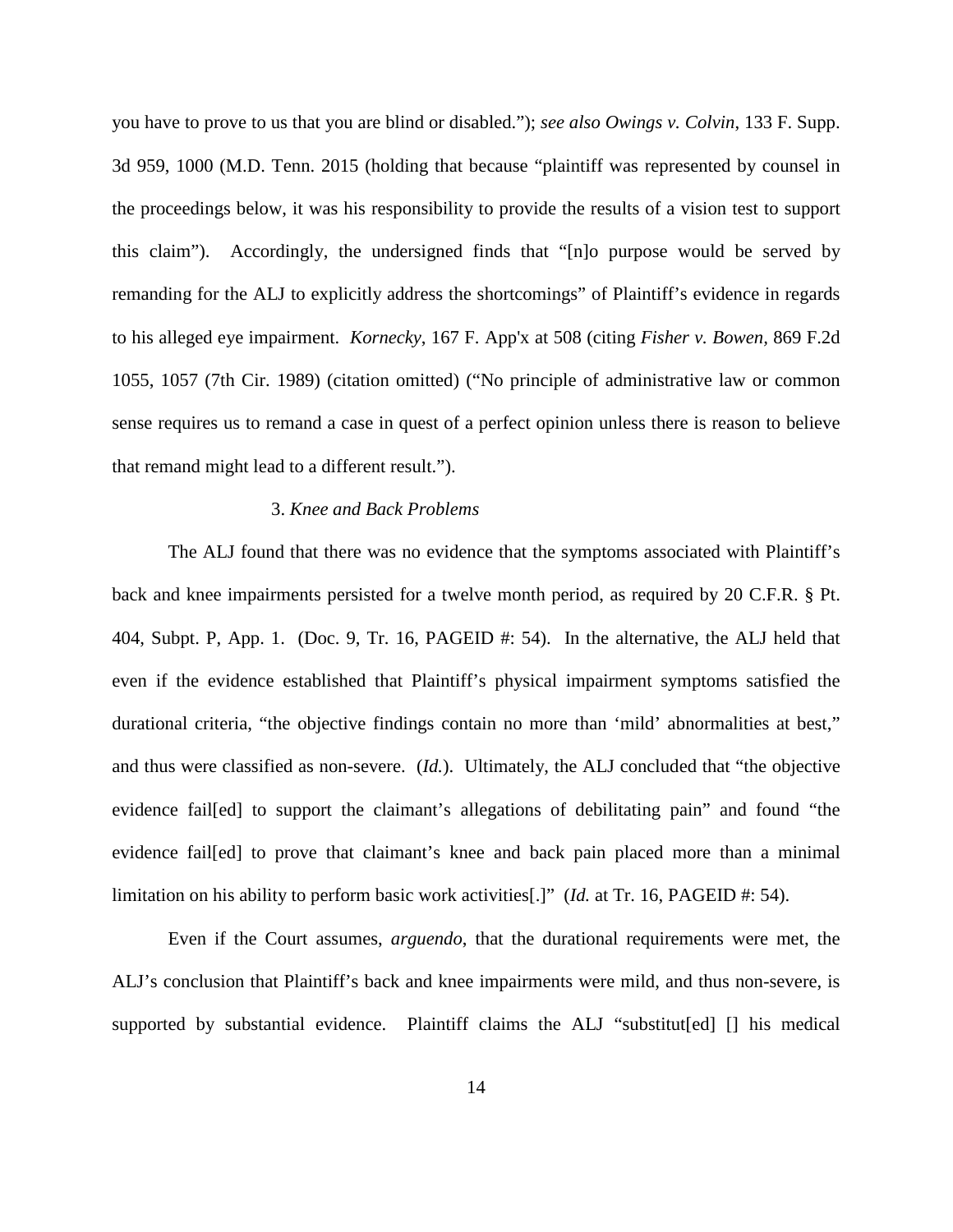you have to prove to us that you are blind or disabled."); *see also Owings v. Colvin*, 133 F. Supp. 3d 959, 1000 (M.D. Tenn. 2015 (holding that because "plaintiff was represented by counsel in the proceedings below, it was his responsibility to provide the results of a vision test to support this claim"). Accordingly, the undersigned finds that "[n]o purpose would be served by remanding for the ALJ to explicitly address the shortcomings" of Plaintiff's evidence in regards to his alleged eye impairment. *Kornecky*, 167 F. App'x at 508 (citing *Fisher v. Bowen,* 869 F.2d 1055, 1057 (7th Cir. 1989) (citation omitted) ("No principle of administrative law or common sense requires us to remand a case in quest of a perfect opinion unless there is reason to believe that remand might lead to a different result.").

## 3. *Knee and Back Problems*

The ALJ found that there was no evidence that the symptoms associated with Plaintiff's back and knee impairments persisted for a twelve month period, as required by 20 C.F.R. § Pt. 404, Subpt. P, App. 1. (Doc. 9, Tr. 16, PAGEID #: 54). In the alternative, the ALJ held that even if the evidence established that Plaintiff's physical impairment symptoms satisfied the durational criteria, "the objective findings contain no more than 'mild' abnormalities at best," and thus were classified as non-severe. (*Id.*). Ultimately, the ALJ concluded that "the objective evidence fail[ed] to support the claimant's allegations of debilitating pain" and found "the evidence fail[ed] to prove that claimant's knee and back pain placed more than a minimal limitation on his ability to perform basic work activities[.]" (*Id.* at Tr. 16, PAGEID #: 54).

Even if the Court assumes, *arguendo*, that the durational requirements were met, the ALJ's conclusion that Plaintiff's back and knee impairments were mild, and thus non-severe, is supported by substantial evidence. Plaintiff claims the ALJ "substitut[ed] [] his medical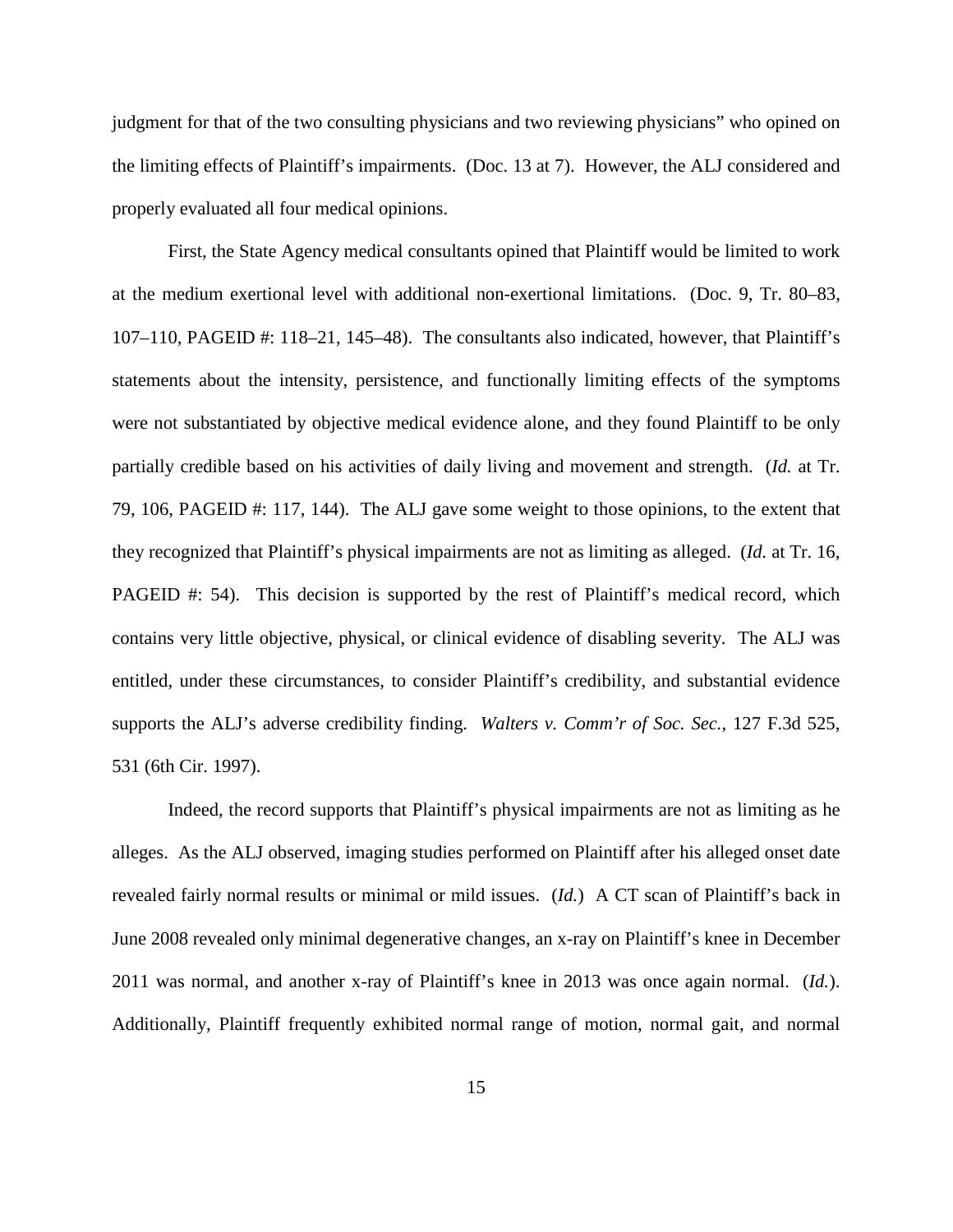judgment for that of the two consulting physicians and two reviewing physicians" who opined on the limiting effects of Plaintiff's impairments. (Doc. 13 at 7). However, the ALJ considered and properly evaluated all four medical opinions.

First, the State Agency medical consultants opined that Plaintiff would be limited to work at the medium exertional level with additional non-exertional limitations. (Doc. 9, Tr. 80–83, 107–110, PAGEID #: 118–21, 145–48). The consultants also indicated, however, that Plaintiff's statements about the intensity, persistence, and functionally limiting effects of the symptoms were not substantiated by objective medical evidence alone, and they found Plaintiff to be only partially credible based on his activities of daily living and movement and strength. (*Id.* at Tr. 79, 106, PAGEID #: 117, 144). The ALJ gave some weight to those opinions, to the extent that they recognized that Plaintiff's physical impairments are not as limiting as alleged. (*Id.* at Tr. 16, PAGEID #: 54). This decision is supported by the rest of Plaintiff's medical record, which contains very little objective, physical, or clinical evidence of disabling severity. The ALJ was entitled, under these circumstances, to consider Plaintiff's credibility, and substantial evidence supports the ALJ's adverse credibility finding. *Walters v. Comm'r of Soc. Sec.*, 127 F.3d 525, 531 (6th Cir. 1997).

Indeed, the record supports that Plaintiff's physical impairments are not as limiting as he alleges. As the ALJ observed, imaging studies performed on Plaintiff after his alleged onset date revealed fairly normal results or minimal or mild issues. (*Id.*) A CT scan of Plaintiff's back in June 2008 revealed only minimal degenerative changes, an x-ray on Plaintiff's knee in December 2011 was normal, and another x-ray of Plaintiff's knee in 2013 was once again normal. (*Id.*). Additionally, Plaintiff frequently exhibited normal range of motion, normal gait, and normal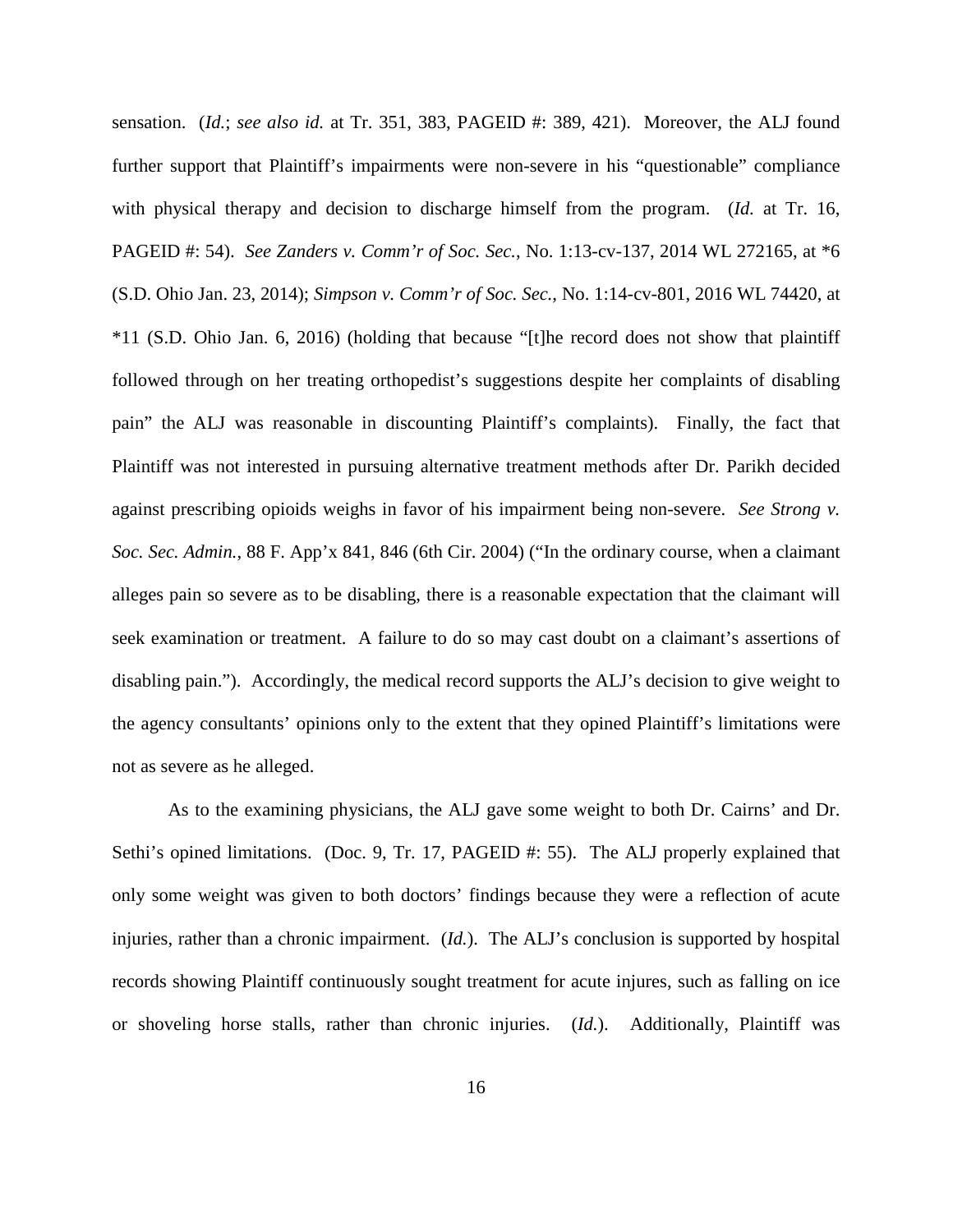sensation. (*Id.*; *see also id.* at Tr. 351, 383, PAGEID #: 389, 421). Moreover, the ALJ found further support that Plaintiff's impairments were non-severe in his "questionable" compliance with physical therapy and decision to discharge himself from the program. (*Id.* at Tr. 16, PAGEID #: 54). *See Zanders v. Comm'r of Soc. Sec.*, No. 1:13-cv-137, 2014 WL 272165, at \*6 (S.D. Ohio Jan. 23, 2014); *Simpson v. Comm'r of Soc. Sec.*, No. 1:14-cv-801, 2016 WL 74420, at \*11 (S.D. Ohio Jan. 6, 2016) (holding that because "[t]he record does not show that plaintiff followed through on her treating orthopedist's suggestions despite her complaints of disabling pain" the ALJ was reasonable in discounting Plaintiff's complaints). Finally, the fact that Plaintiff was not interested in pursuing alternative treatment methods after Dr. Parikh decided against prescribing opioids weighs in favor of his impairment being non-severe. *See Strong v. Soc. Sec. Admin.*, 88 F. App'x 841, 846 (6th Cir. 2004) ("In the ordinary course, when a claimant alleges pain so severe as to be disabling, there is a reasonable expectation that the claimant will seek examination or treatment. A failure to do so may cast doubt on a claimant's assertions of disabling pain."). Accordingly, the medical record supports the ALJ's decision to give weight to the agency consultants' opinions only to the extent that they opined Plaintiff's limitations were not as severe as he alleged.

As to the examining physicians, the ALJ gave some weight to both Dr. Cairns' and Dr. Sethi's opined limitations. (Doc. 9, Tr. 17, PAGEID #: 55). The ALJ properly explained that only some weight was given to both doctors' findings because they were a reflection of acute injuries, rather than a chronic impairment. (*Id.*). The ALJ's conclusion is supported by hospital records showing Plaintiff continuously sought treatment for acute injures, such as falling on ice or shoveling horse stalls, rather than chronic injuries. (*Id.*). Additionally, Plaintiff was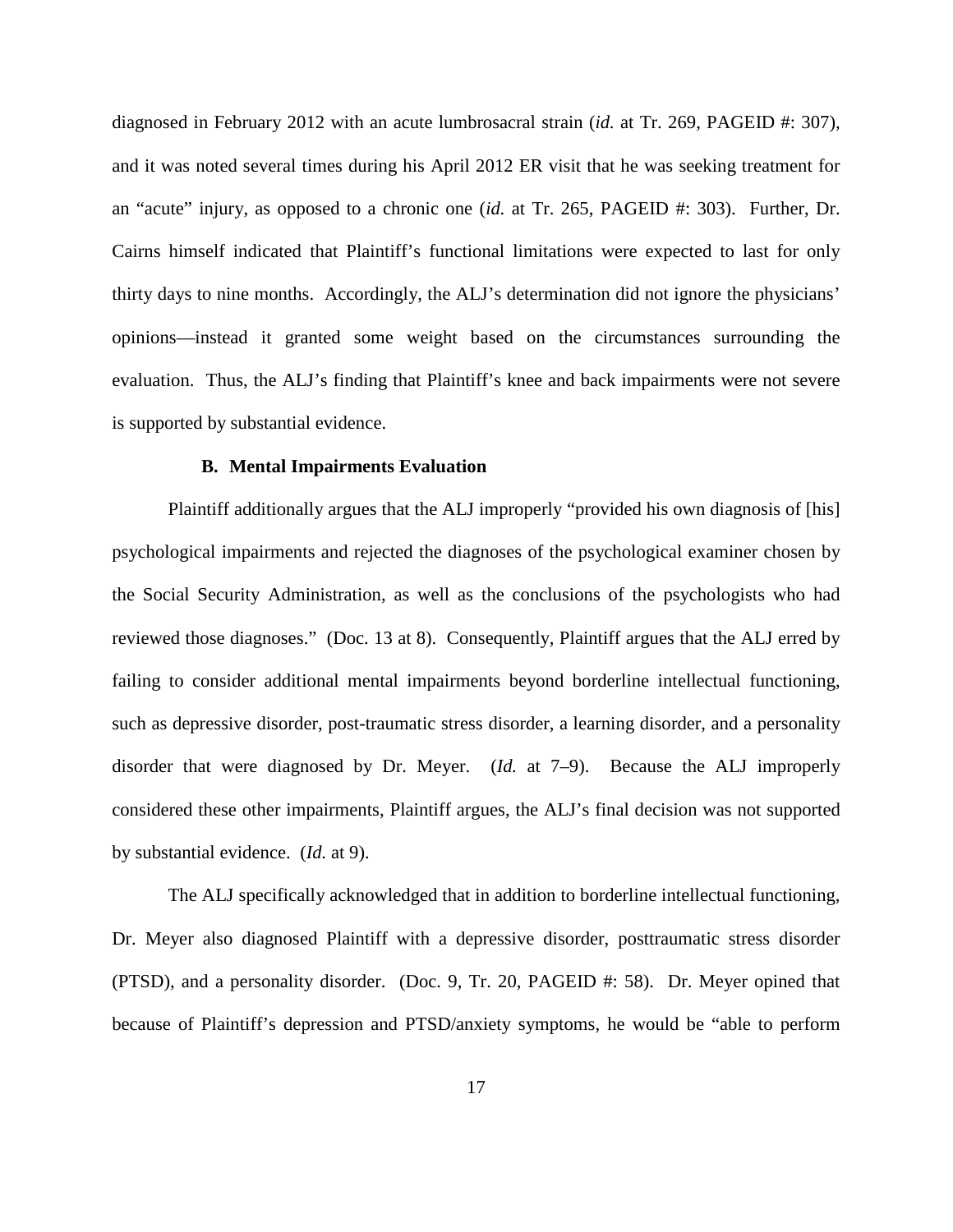diagnosed in February 2012 with an acute lumbrosacral strain (*id.* at Tr. 269, PAGEID #: 307), and it was noted several times during his April 2012 ER visit that he was seeking treatment for an "acute" injury, as opposed to a chronic one (*id.* at Tr. 265, PAGEID #: 303). Further, Dr. Cairns himself indicated that Plaintiff's functional limitations were expected to last for only thirty days to nine months. Accordingly, the ALJ's determination did not ignore the physicians' opinions—instead it granted some weight based on the circumstances surrounding the evaluation. Thus, the ALJ's finding that Plaintiff's knee and back impairments were not severe is supported by substantial evidence.

### **B. Mental Impairments Evaluation**

Plaintiff additionally argues that the ALJ improperly "provided his own diagnosis of [his] psychological impairments and rejected the diagnoses of the psychological examiner chosen by the Social Security Administration, as well as the conclusions of the psychologists who had reviewed those diagnoses." (Doc. 13 at 8). Consequently, Plaintiff argues that the ALJ erred by failing to consider additional mental impairments beyond borderline intellectual functioning, such as depressive disorder, post-traumatic stress disorder, a learning disorder, and a personality disorder that were diagnosed by Dr. Meyer. (*Id.* at 7–9). Because the ALJ improperly considered these other impairments, Plaintiff argues, the ALJ's final decision was not supported by substantial evidence. (*Id.* at 9).

The ALJ specifically acknowledged that in addition to borderline intellectual functioning, Dr. Meyer also diagnosed Plaintiff with a depressive disorder, posttraumatic stress disorder (PTSD), and a personality disorder. (Doc. 9, Tr. 20, PAGEID #: 58). Dr. Meyer opined that because of Plaintiff's depression and PTSD/anxiety symptoms, he would be "able to perform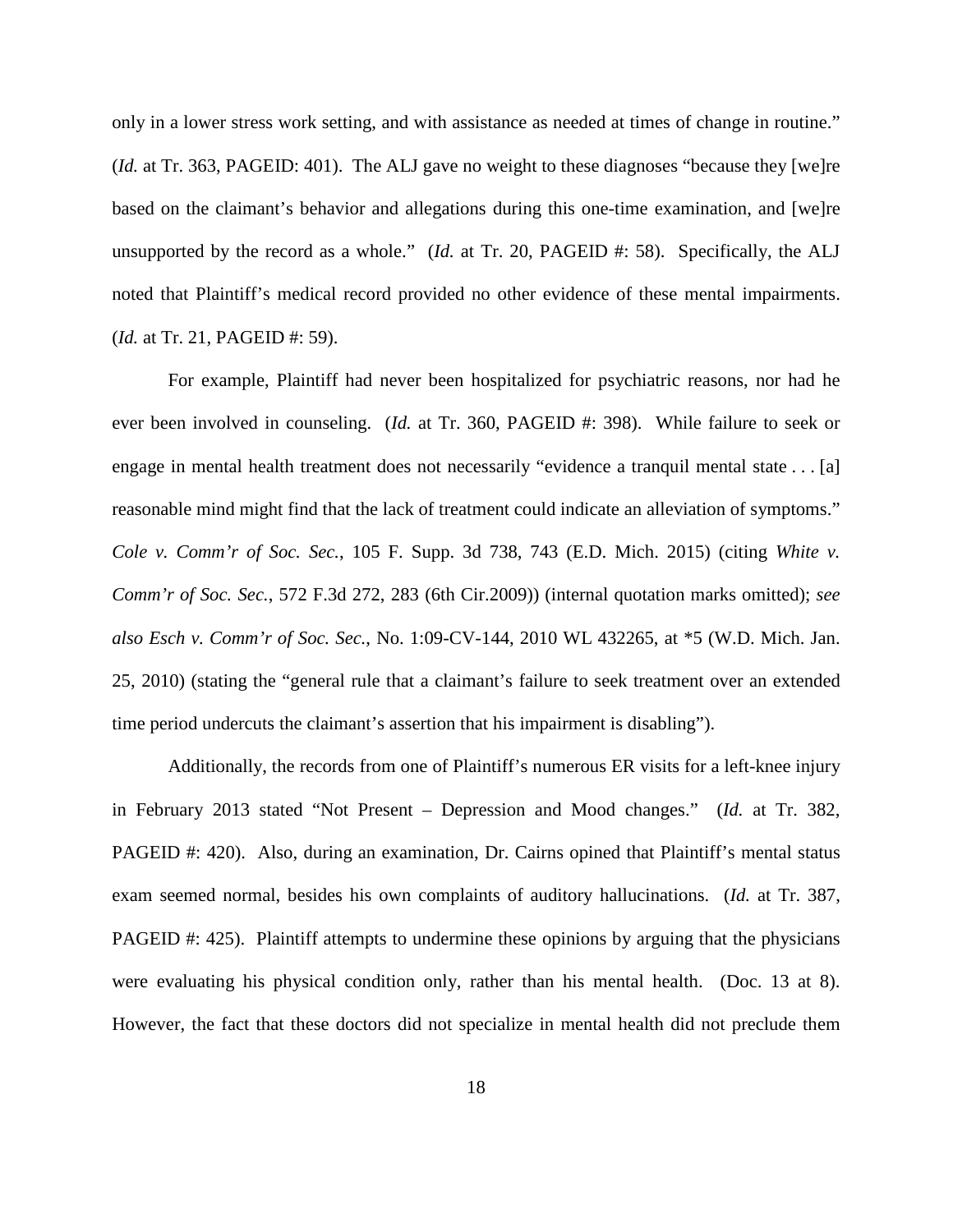only in a lower stress work setting, and with assistance as needed at times of change in routine." (*Id.* at Tr. 363, PAGEID: 401). The ALJ gave no weight to these diagnoses "because they [we]re based on the claimant's behavior and allegations during this one-time examination, and [we]re unsupported by the record as a whole." (*Id.* at Tr. 20, PAGEID #: 58). Specifically, the ALJ noted that Plaintiff's medical record provided no other evidence of these mental impairments. (*Id.* at Tr. 21, PAGEID #: 59).

For example, Plaintiff had never been hospitalized for psychiatric reasons, nor had he ever been involved in counseling. (*Id.* at Tr. 360, PAGEID #: 398). While failure to seek or engage in mental health treatment does not necessarily "evidence a tranquil mental state . . . [a] reasonable mind might find that the lack of treatment could indicate an alleviation of symptoms." *Cole v. Comm'r of Soc. Sec.*, 105 F. Supp. 3d 738, 743 (E.D. Mich. 2015) (citing *White v. Comm'r of Soc. Sec.*, 572 F.3d 272, 283 (6th Cir.2009)) (internal quotation marks omitted); *see also Esch v. Comm'r of Soc. Sec.*, No. 1:09-CV-144, 2010 WL 432265, at \*5 (W.D. Mich. Jan. 25, 2010) (stating the "general rule that a claimant's failure to seek treatment over an extended time period undercuts the claimant's assertion that his impairment is disabling").

Additionally, the records from one of Plaintiff's numerous ER visits for a left-knee injury in February 2013 stated "Not Present – Depression and Mood changes." (*Id.* at Tr. 382, PAGEID #: 420). Also, during an examination, Dr. Cairns opined that Plaintiff's mental status exam seemed normal, besides his own complaints of auditory hallucinations. (*Id.* at Tr. 387, PAGEID #: 425). Plaintiff attempts to undermine these opinions by arguing that the physicians were evaluating his physical condition only, rather than his mental health. (Doc. 13 at 8). However, the fact that these doctors did not specialize in mental health did not preclude them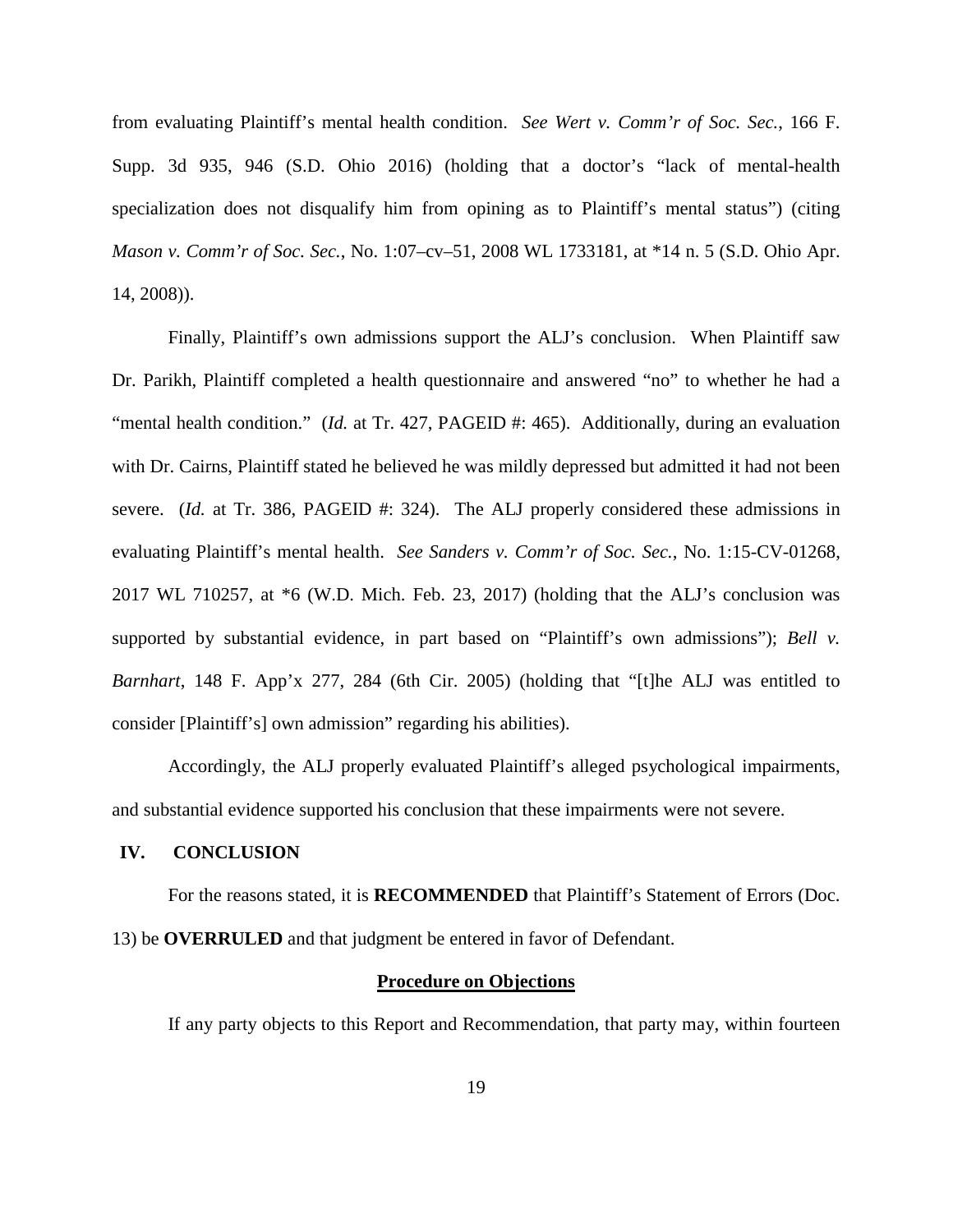from evaluating Plaintiff's mental health condition. *See Wert v. Comm'r of Soc. Sec.*, 166 F. Supp. 3d 935, 946 (S.D. Ohio 2016) (holding that a doctor's "lack of mental-health specialization does not disqualify him from opining as to Plaintiff's mental status") (citing *Mason v. Comm'r of Soc. Sec.*, No. 1:07–cv–51, 2008 WL 1733181, at \*14 n. 5 (S.D. Ohio Apr. 14, 2008)).

Finally, Plaintiff's own admissions support the ALJ's conclusion. When Plaintiff saw Dr. Parikh, Plaintiff completed a health questionnaire and answered "no" to whether he had a "mental health condition." (*Id.* at Tr. 427, PAGEID #: 465). Additionally, during an evaluation with Dr. Cairns, Plaintiff stated he believed he was mildly depressed but admitted it had not been severe. (*Id.* at Tr. 386, PAGEID #: 324). The ALJ properly considered these admissions in evaluating Plaintiff's mental health. *See Sanders v. Comm'r of Soc. Sec.*, No. 1:15-CV-01268, 2017 WL 710257, at \*6 (W.D. Mich. Feb. 23, 2017) (holding that the ALJ's conclusion was supported by substantial evidence, in part based on "Plaintiff's own admissions"); *Bell v. Barnhart*, 148 F. App'x 277, 284 (6th Cir. 2005) (holding that "[t]he ALJ was entitled to consider [Plaintiff's] own admission" regarding his abilities).

Accordingly, the ALJ properly evaluated Plaintiff's alleged psychological impairments, and substantial evidence supported his conclusion that these impairments were not severe.

### **IV. CONCLUSION**

For the reasons stated, it is **RECOMMENDED** that Plaintiff's Statement of Errors (Doc. 13) be **OVERRULED** and that judgment be entered in favor of Defendant.

# **Procedure on Objections**

If any party objects to this Report and Recommendation, that party may, within fourteen